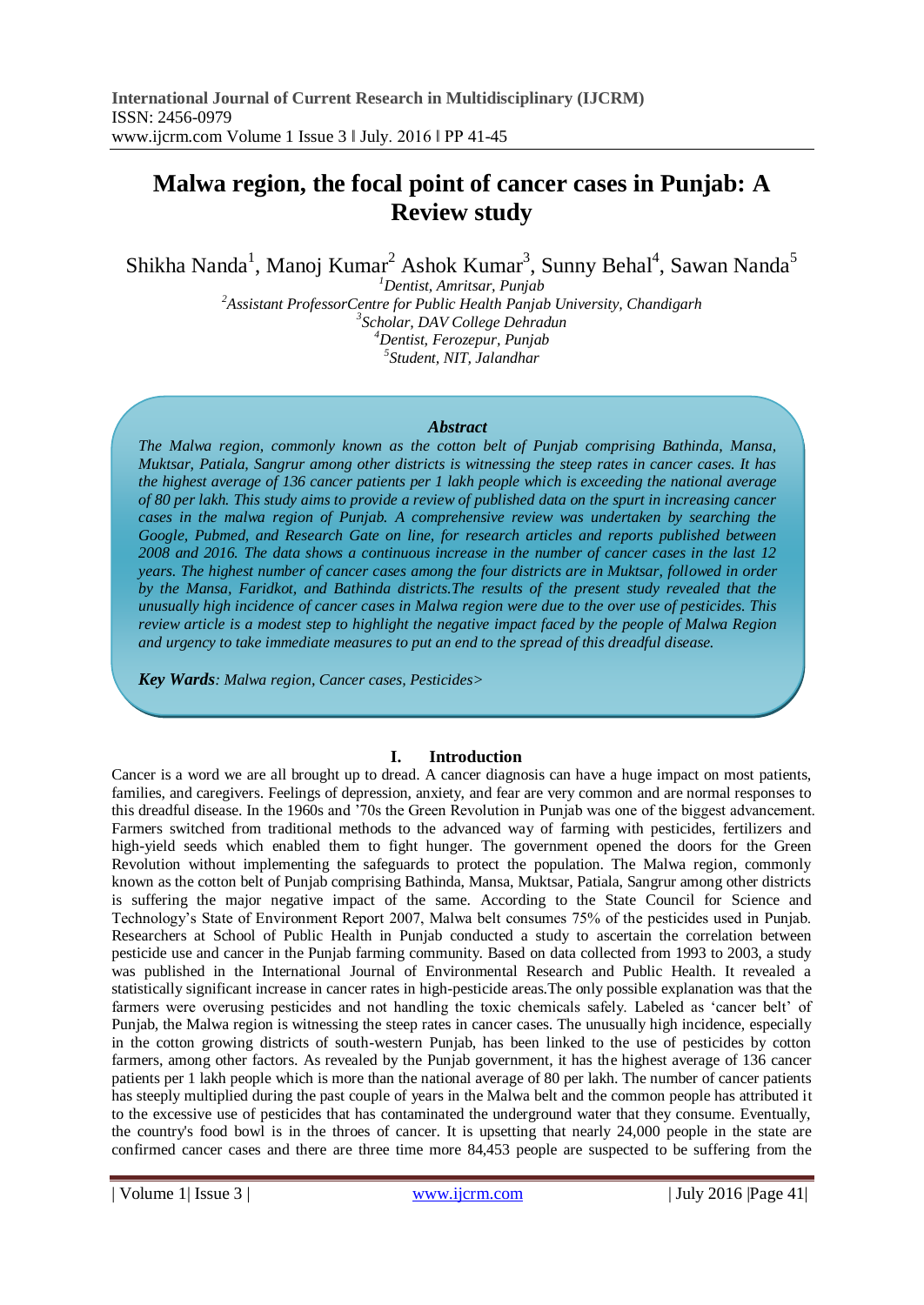# **Malwa region, the focal point of cancer cases in Punjab: A Review study**

Shikha Nanda<sup>1</sup>, Manoj Kumar<sup>2</sup> Ashok Kumar<sup>3</sup>, Sunny Behal<sup>4</sup>, Sawan Nanda<sup>5</sup>

*Dentist, Amritsar, Punjab Assistant ProfessorCentre for Public Health Panjab University, Chandigarh Scholar, DAV College Dehradun Dentist, Ferozepur, Punjab Student, NIT, Jalandhar*

#### *Abstract*

*The Malwa region, commonly known as the cotton belt of Punjab comprising Bathinda, Mansa, Muktsar, Patiala, Sangrur among other districts is witnessing the steep rates in cancer cases. It has the highest average of 136 cancer patients per 1 lakh people which is exceeding the national average of 80 per lakh. This study aims to provide a review of published data on the spurt in increasing cancer cases in the malwa region of Punjab. A comprehensive review was undertaken by searching the Google, Pubmed, and Research Gate on line, for research articles and reports published between 2008 and 2016. The data shows a continuous increase in the number of cancer cases in the last 12 years. The highest number of cancer cases among the four districts are in Muktsar, followed in order by the Mansa, Faridkot, and Bathinda districts.The results of the present study revealed that the unusually high incidence of cancer cases in Malwa region were due to the over use of pesticides. This review article is a modest step to highlight the negative impact faced by the people of Malwa Region and urgency to take immediate measures to put an end to the spread of this dreadful disease.*

*Key Wards: Malwa region, Cancer cases, Pesticides>*

## **I. Introduction**

Cancer is a word we are all brought up to dread. A cancer diagnosis can have a huge impact on most patients, families, and caregivers. Feelings of depression, anxiety, and fear are very common and are normal responses to this dreadful disease. In the 1960s and '70s the Green Revolution in Punjab was one of the biggest advancement. Farmers switched from traditional methods to the advanced way of farming with pesticides, fertilizers and high-yield seeds which enabled them to fight hunger. The government opened the doors for the Green Revolution without implementing the safeguards to protect the population. The Malwa region, commonly known as the cotton belt of Punjab comprising Bathinda, Mansa, Muktsar, Patiala, Sangrur among other districts is suffering the major negative impact of the same. According to the State Council for Science and Technology's State of Environment Report 2007, Malwa belt consumes 75% of the pesticides used in Punjab. Researchers at School of Public Health in Punjab conducted a study to ascertain the correlation between pesticide use and cancer in the Punjab farming community. Based on data collected from 1993 to 2003, a study was published in the International Journal of Environmental Research and Public Health. It revealed a statistically significant increase in cancer rates in high-pesticide areas.The only possible explanation was that the farmers were overusing pesticides and not handling the toxic chemicals safely. Labeled as 'cancer belt' of Punjab, the Malwa region is witnessing the steep rates in cancer cases. The unusually high incidence, especially in the cotton growing districts of south-western Punjab, has been linked to the use of pesticides by cotton farmers, among other factors. As revealed by the Punjab government, it has the highest average of 136 cancer patients per 1 lakh people which is more than the national average of 80 per lakh. The number of cancer patients has steeply multiplied during the past couple of years in the Malwa belt and the common people has attributed it to the excessive use of pesticides that has contaminated the underground water that they consume. Eventually, the country's food bowl is in the throes of cancer. It is upsetting that nearly 24,000 people in the state are confirmed cancer cases and there are three time more 84,453 people are suspected to be suffering from the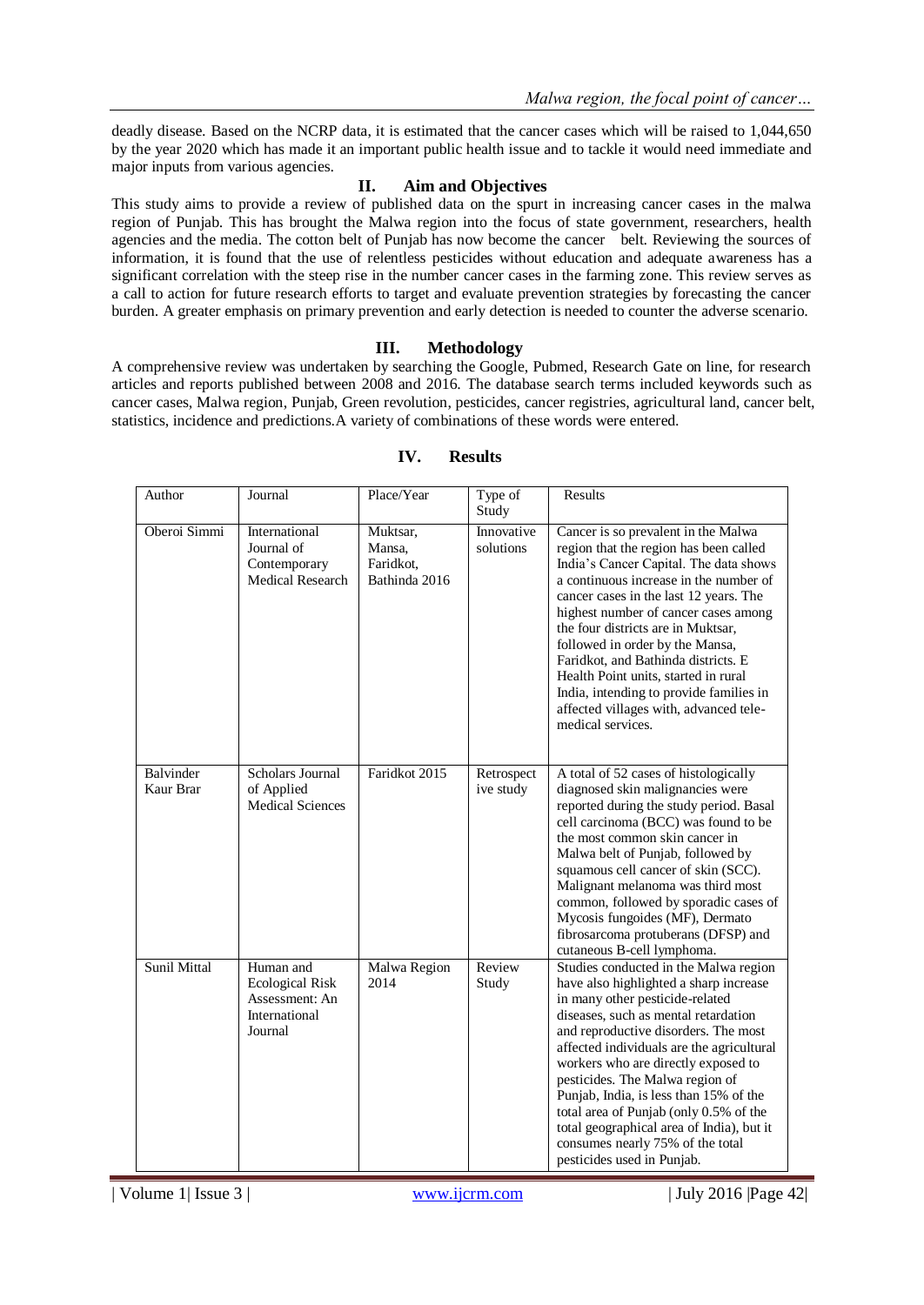deadly disease. Based on the NCRP data, it is estimated that the cancer cases which will be raised to 1,044,650 by the year 2020 which has made it an important public health issue and to tackle it would need immediate and major inputs from various agencies.

## **II. Aim and Objectives**

This study aims to provide a review of published data on the spurt in increasing cancer cases in the malwa region of Punjab. This has brought the Malwa region into the focus of state government, researchers, health agencies and the media. The cotton belt of Punjab has now become the cancer belt. Reviewing the sources of information, it is found that the use of relentless pesticides without education and adequate awareness has a significant correlation with the steep rise in the number cancer cases in the farming zone. This review serves as a call to action for future research efforts to target and evaluate prevention strategies by forecasting the cancer burden. A greater emphasis on primary prevention and early detection is needed to counter the adverse scenario.

## **III. Methodology**

A comprehensive review was undertaken by searching the Google, Pubmed, Research Gate on line, for research articles and reports published between 2008 and 2016. The database search terms included keywords such as cancer cases, Malwa region, Punjab, Green revolution, pesticides, cancer registries, agricultural land, cancer belt, statistics, incidence and predictions.A variety of combinations of these words were entered.

| Author                 | Journal                                                                           | Place/Year                                       | Type of<br>Study        | Results                                                                                                                                                                                                                                                                                                                                                                                                                                                                                                                      |
|------------------------|-----------------------------------------------------------------------------------|--------------------------------------------------|-------------------------|------------------------------------------------------------------------------------------------------------------------------------------------------------------------------------------------------------------------------------------------------------------------------------------------------------------------------------------------------------------------------------------------------------------------------------------------------------------------------------------------------------------------------|
| Oberoi Simmi           | International<br>Journal of<br>Contemporary<br><b>Medical Research</b>            | Muktsar,<br>Mansa,<br>Faridkot,<br>Bathinda 2016 | Innovative<br>solutions | Cancer is so prevalent in the Malwa<br>region that the region has been called<br>India's Cancer Capital. The data shows<br>a continuous increase in the number of<br>cancer cases in the last 12 years. The<br>highest number of cancer cases among<br>the four districts are in Muktsar,<br>followed in order by the Mansa,<br>Faridkot, and Bathinda districts. E<br>Health Point units, started in rural<br>India, intending to provide families in<br>affected villages with, advanced tele-<br>medical services.        |
| Balvinder<br>Kaur Brar | Scholars Journal<br>of Applied<br><b>Medical Sciences</b>                         | Faridkot 2015                                    | Retrospect<br>ive study | A total of 52 cases of histologically<br>diagnosed skin malignancies were<br>reported during the study period. Basal<br>cell carcinoma (BCC) was found to be<br>the most common skin cancer in<br>Malwa belt of Punjab, followed by<br>squamous cell cancer of skin (SCC).<br>Malignant melanoma was third most<br>common, followed by sporadic cases of<br>Mycosis fungoides (MF), Dermato<br>fibrosarcoma protuberans (DFSP) and<br>cutaneous B-cell lymphoma.                                                             |
| Sunil Mittal           | Human and<br><b>Ecological Risk</b><br>Assessment: An<br>International<br>Journal | Malwa Region<br>2014                             | Review<br>Study         | Studies conducted in the Malwa region<br>have also highlighted a sharp increase<br>in many other pesticide-related<br>diseases, such as mental retardation<br>and reproductive disorders. The most<br>affected individuals are the agricultural<br>workers who are directly exposed to<br>pesticides. The Malwa region of<br>Punjab, India, is less than 15% of the<br>total area of Punjab (only 0.5% of the<br>total geographical area of India), but it<br>consumes nearly 75% of the total<br>pesticides used in Punjab. |

## **IV. Results**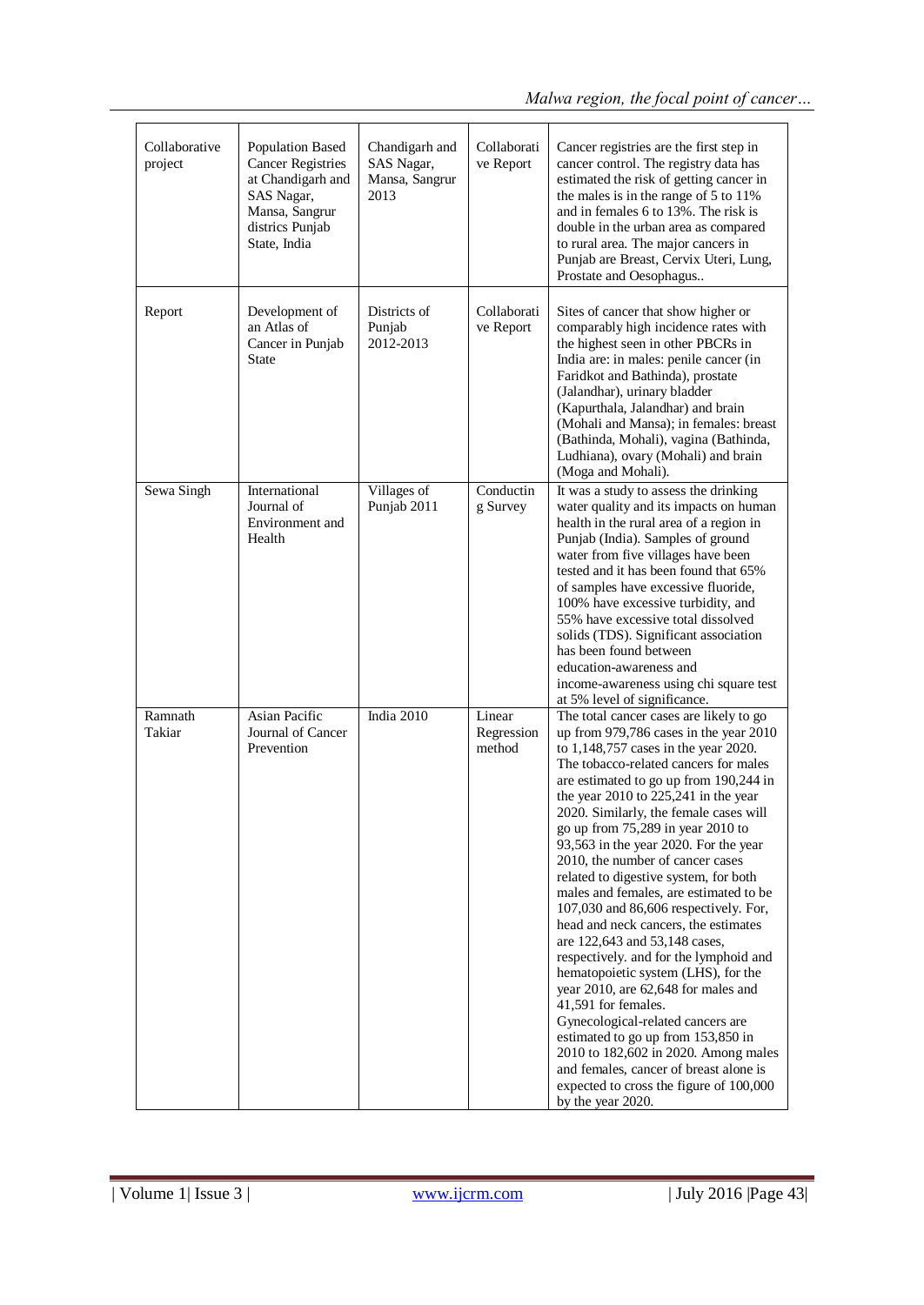| Collaborative<br>project | <b>Population Based</b><br><b>Cancer Registries</b><br>at Chandigarh and<br>SAS Nagar,<br>Mansa, Sangrur<br>districs Punjab<br>State, India | Chandigarh and<br>SAS Nagar,<br>Mansa, Sangrur<br>2013 | Collaborati<br>ve Report       | Cancer registries are the first step in<br>cancer control. The registry data has<br>estimated the risk of getting cancer in<br>the males is in the range of 5 to 11%<br>and in females 6 to 13%. The risk is<br>double in the urban area as compared<br>to rural area. The major cancers in<br>Punjab are Breast, Cervix Uteri, Lung,<br>Prostate and Oesophagus                                                                                                                                                                                                                                                                                                                                                                                                                                                                                                                                                                                                                                      |
|--------------------------|---------------------------------------------------------------------------------------------------------------------------------------------|--------------------------------------------------------|--------------------------------|-------------------------------------------------------------------------------------------------------------------------------------------------------------------------------------------------------------------------------------------------------------------------------------------------------------------------------------------------------------------------------------------------------------------------------------------------------------------------------------------------------------------------------------------------------------------------------------------------------------------------------------------------------------------------------------------------------------------------------------------------------------------------------------------------------------------------------------------------------------------------------------------------------------------------------------------------------------------------------------------------------|
| Report                   | Development of<br>an Atlas of<br>Cancer in Punjab<br>State                                                                                  | Districts of<br>Punjab<br>2012-2013                    | Collaborati<br>ve Report       | Sites of cancer that show higher or<br>comparably high incidence rates with<br>the highest seen in other PBCRs in<br>India are: in males: penile cancer (in<br>Faridkot and Bathinda), prostate<br>(Jalandhar), urinary bladder<br>(Kapurthala, Jalandhar) and brain<br>(Mohali and Mansa); in females: breast<br>(Bathinda, Mohali), vagina (Bathinda,<br>Ludhiana), ovary (Mohali) and brain<br>(Moga and Mohali).                                                                                                                                                                                                                                                                                                                                                                                                                                                                                                                                                                                  |
| Sewa Singh               | International<br>Journal of<br>Environment and<br>Health                                                                                    | Villages of<br>Punjab 2011                             | Conductin<br>g Survey          | It was a study to assess the drinking<br>water quality and its impacts on human<br>health in the rural area of a region in<br>Punjab (India). Samples of ground<br>water from five villages have been<br>tested and it has been found that 65%<br>of samples have excessive fluoride,<br>100% have excessive turbidity, and<br>55% have excessive total dissolved<br>solids (TDS). Significant association<br>has been found between<br>education-awareness and<br>income-awareness using chi square test<br>at 5% level of significance.                                                                                                                                                                                                                                                                                                                                                                                                                                                             |
| Ramnath<br>Takiar        | Asian Pacific<br>Journal of Cancer<br>Prevention                                                                                            | India 2010                                             | Linear<br>Regression<br>method | The total cancer cases are likely to go<br>up from 979,786 cases in the year 2010<br>to 1,148,757 cases in the year 2020.<br>The tobacco-related cancers for males<br>are estimated to go up from 190,244 in<br>the year $2010$ to $225,241$ in the year<br>2020. Similarly, the female cases will<br>go up from 75,289 in year 2010 to<br>93,563 in the year 2020. For the year<br>2010, the number of cancer cases<br>related to digestive system, for both<br>males and females, are estimated to be<br>107,030 and 86,606 respectively. For,<br>head and neck cancers, the estimates<br>are 122,643 and 53,148 cases,<br>respectively. and for the lymphoid and<br>hematopoietic system (LHS), for the<br>year 2010, are 62,648 for males and<br>41,591 for females.<br>Gynecological-related cancers are<br>estimated to go up from 153,850 in<br>2010 to 182,602 in 2020. Among males<br>and females, cancer of breast alone is<br>expected to cross the figure of 100,000<br>by the year 2020. |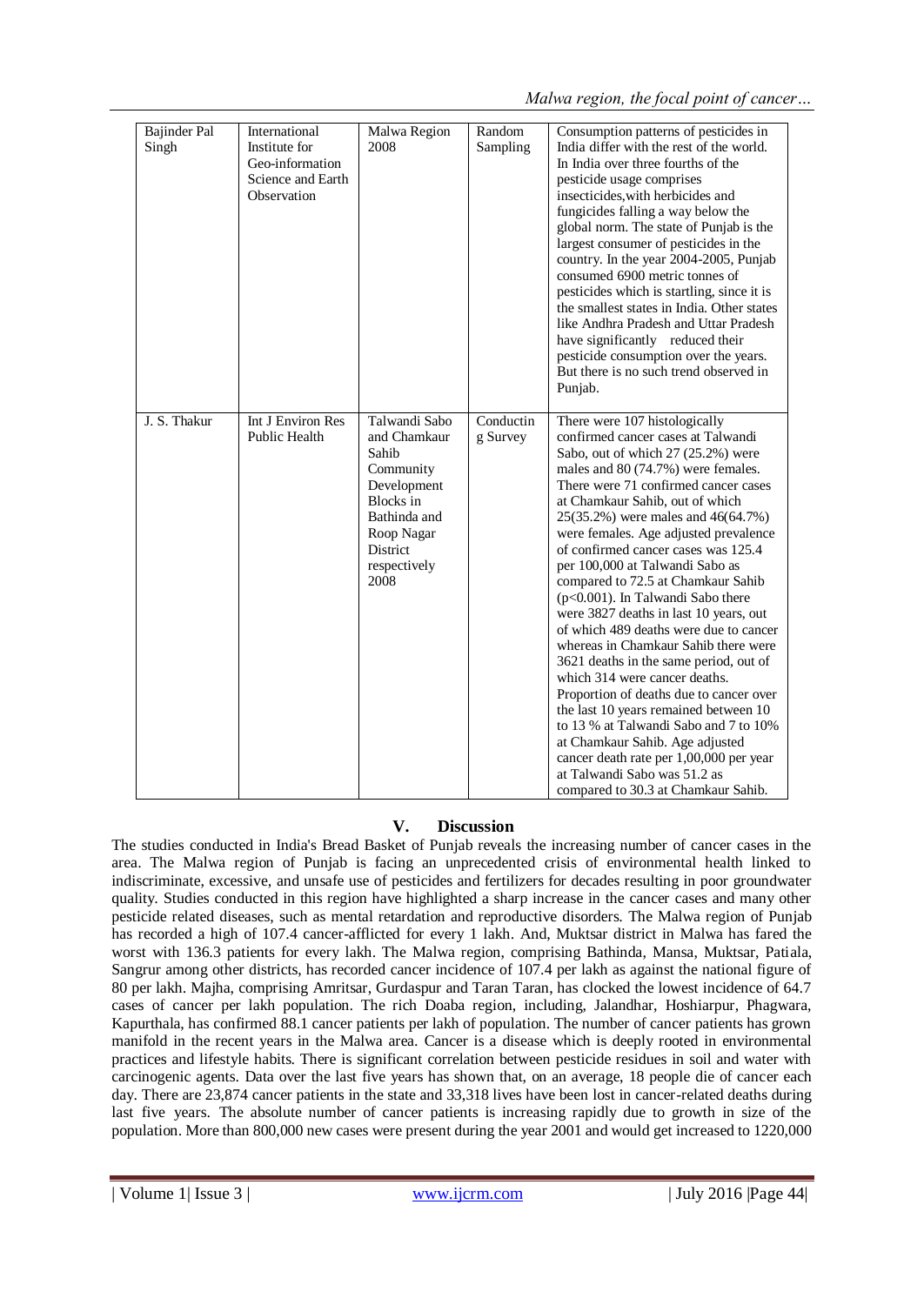| <b>Bajinder Pal</b><br>Singh | International<br>Institute for<br>Geo-information<br>Science and Earth<br>Observation | Malwa Region<br>2008                                                                                                                                     | Random<br>Sampling    | Consumption patterns of pesticides in<br>India differ with the rest of the world.<br>In India over three fourths of the<br>pesticide usage comprises<br>insecticides, with herbicides and<br>fungicides falling a way below the<br>global norm. The state of Punjab is the<br>largest consumer of pesticides in the<br>country. In the year 2004-2005, Punjab<br>consumed 6900 metric tonnes of<br>pesticides which is startling, since it is<br>the smallest states in India. Other states<br>like Andhra Pradesh and Uttar Pradesh<br>have significantly reduced their<br>pesticide consumption over the years.<br>But there is no such trend observed in<br>Punjab.                                                                                                                                                                                                                                                                                      |
|------------------------------|---------------------------------------------------------------------------------------|----------------------------------------------------------------------------------------------------------------------------------------------------------|-----------------------|-------------------------------------------------------------------------------------------------------------------------------------------------------------------------------------------------------------------------------------------------------------------------------------------------------------------------------------------------------------------------------------------------------------------------------------------------------------------------------------------------------------------------------------------------------------------------------------------------------------------------------------------------------------------------------------------------------------------------------------------------------------------------------------------------------------------------------------------------------------------------------------------------------------------------------------------------------------|
| J. S. Thakur                 | Int J Environ Res<br>Public Health                                                    | Talwandi Sabo<br>and Chamkaur<br>Sahib<br>Community<br>Development<br><b>Blocks</b> in<br>Bathinda and<br>Roop Nagar<br>District<br>respectively<br>2008 | Conductin<br>g Survey | There were 107 histologically<br>confirmed cancer cases at Talwandi<br>Sabo, out of which 27 (25.2%) were<br>males and $80(74.7%)$ were females.<br>There were 71 confirmed cancer cases<br>at Chamkaur Sahib, out of which<br>25(35.2%) were males and 46(64.7%)<br>were females. Age adjusted prevalence<br>of confirmed cancer cases was 125.4<br>per 100,000 at Talwandi Sabo as<br>compared to 72.5 at Chamkaur Sahib<br>$(p<0.001)$ . In Talwandi Sabo there<br>were 3827 deaths in last 10 years, out<br>of which 489 deaths were due to cancer<br>whereas in Chamkaur Sahib there were<br>3621 deaths in the same period, out of<br>which 314 were cancer deaths.<br>Proportion of deaths due to cancer over<br>the last 10 years remained between 10<br>to 13 % at Talwandi Sabo and 7 to 10%<br>at Chamkaur Sahib. Age adjusted<br>cancer death rate per 1,00,000 per year<br>at Talwandi Sabo was 51.2 as<br>compared to 30.3 at Chamkaur Sahib. |

# **V. Discussion**

The studies conducted in India's Bread Basket of Punjab reveals the increasing number of cancer cases in the area. The Malwa region of Punjab is facing an unprecedented crisis of environmental health linked to indiscriminate, excessive, and unsafe use of pesticides and fertilizers for decades resulting in poor groundwater quality. Studies conducted in this region have highlighted a sharp increase in the cancer cases and many other pesticide related diseases, such as mental retardation and reproductive disorders. The Malwa region of Punjab has recorded a high of 107.4 cancer-afflicted for every 1 lakh. And, Muktsar district in Malwa has fared the worst with 136.3 patients for every lakh. The Malwa region, comprising Bathinda, Mansa, Muktsar, Patiala, Sangrur among other districts, has recorded cancer incidence of 107.4 per lakh as against the national figure of 80 per lakh. Majha, comprising Amritsar, Gurdaspur and Taran Taran, has clocked the lowest incidence of 64.7 cases of cancer per lakh population. The rich Doaba region, including, Jalandhar, Hoshiarpur, Phagwara, Kapurthala, has confirmed 88.1 cancer patients per lakh of population. The number of cancer patients has grown manifold in the recent years in the Malwa area. Cancer is a disease which is deeply rooted in environmental practices and lifestyle habits. There is significant correlation between pesticide residues in soil and water with carcinogenic agents. Data over the last five years has shown that, on an average, 18 people die of cancer each day. There are 23,874 cancer patients in the state and 33,318 lives have been lost in cancer-related deaths during last five years. The absolute number of cancer patients is increasing rapidly due to growth in size of the population. More than 800,000 new cases were present during the year 2001 and would get increased to 1220,000